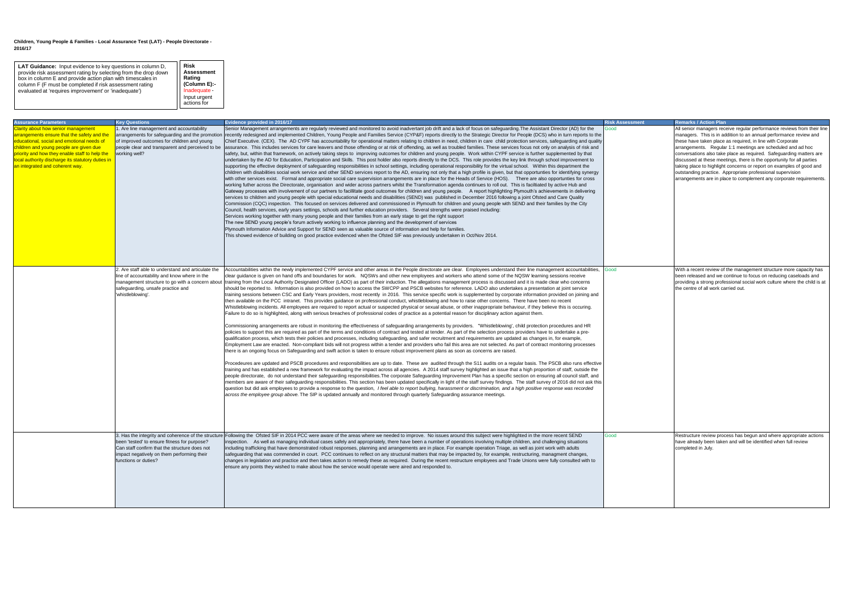| <b>Assurance Parameters</b>                       | <b>Key Questions</b>                                | <b>Evidence provided in 2016/17</b>                                                                                                                                                                                            | <b>Risk Assessment</b> | <b>Remarks / Action Plan</b>                                              |
|---------------------------------------------------|-----------------------------------------------------|--------------------------------------------------------------------------------------------------------------------------------------------------------------------------------------------------------------------------------|------------------------|---------------------------------------------------------------------------|
| Clarity about how senior management               | . Are line management and accountability            | Senior Management arrangements are regularly reviewed and monitored to avoid inadvertant job drift and a lack of focus on safeguarding. The Assistant Director (AD) for the                                                    | bood                   | All senior managers receive regular performance reviews from their line   |
| arrangements ensure that the safety and the       |                                                     | arrangements for safeguarding and the promotion recently redesigned and implemented Children, Young People and Families Service (CYP&F) reports directly to the Strategic Director for People (DCS) who in turn reports to the |                        | managers. This is in addition to an annual performance review and         |
| educational, social and emotional needs of        | of improved outcomes for children and young         | Chief Executive. (CEX). The AD CYPF has accountability for operational matters relating to children in need, children in care child protection services, safeguarding and quality                                              |                        | these have taken place as required, in line with Corporate                |
| children and young people are given due           |                                                     | people clear and transparent and perceived to be assurance. This includes services for care leavers and those offending or at risk of offending, as well as troubled families. These services focus not only on analysis of ri |                        | arrangements. Regular 1:1 meetings are scheduled and ad hoc               |
| priority and how they enable staff to help the    | working well?                                       | safety, but, within that framework, on actively taking steps to improving outcomes for children and young people. Work within CYPF service is further supplemented by that                                                     |                        | conversations also take place as required. Safeguarding matters are       |
| local authority discharge its statutory duties in |                                                     | undertaken by the AD for Education, Participation and Skills. This post holder also reports directly to the DCS. This role provides the key link through school improvement to                                                 |                        | discussed at these meetings, there is the opportunity for all parties     |
| an integrated and coherent way.                   |                                                     | supporting the effective deployment of safeguarding responsibilities in school settings, including operational responsibility for the virtual school. Within this department the                                               |                        | taking place to highlight concerns or report on examples of good and      |
|                                                   |                                                     | children with disabilities social work service and other SEND services report to the AD, ensuring not only that a high profile is given, but that opportunties for identifying synergy                                         |                        | outstanding practice. Appropriate professional supervision                |
|                                                   |                                                     | with other services exist. Formal and appropriate social care supervision arrangements are in place for the Heads of Service (HOS). There are also opportunties for cross                                                      |                        | arrangements are in place to complement any corporate requirements.       |
|                                                   |                                                     | working futher across the Directorate, organisation and wider across partners whilst the Transformation agenda continues to roll out. This is faciltiated by active Hub and                                                    |                        |                                                                           |
|                                                   |                                                     | Gateway processes with involvement of our partners to facillitate good outcomes for children and young people. A report highlighting Plymouth's achievements in delivering                                                     |                        |                                                                           |
|                                                   |                                                     | services to children and young people with special educational needs and disabilities (SEND) was published in December 2016 following a joint Ofsted and Care Quality                                                          |                        |                                                                           |
|                                                   |                                                     | Commission (CQC) inspection. This focused on services delivered and commissioned in Plymouth for children and young people with SEND and their families by the City                                                            |                        |                                                                           |
|                                                   |                                                     | Council, health services, early years settings, schools and further education providers. Several strengths were praised including:                                                                                             |                        |                                                                           |
|                                                   |                                                     | Services working together with many young people and their families from an early stage to get the right support                                                                                                               |                        |                                                                           |
|                                                   |                                                     | The new SEND young people's forum actively working to influence planning and the development of services                                                                                                                       |                        |                                                                           |
|                                                   |                                                     | Plymouth Information Advice and Support for SEND seen as valuable source of information and help for families.                                                                                                                 |                        |                                                                           |
|                                                   |                                                     | This showed evidence of building on good practice evidenced when the Ofsted SIF was previously undertaken in Oct/Nov 2014.                                                                                                     |                        |                                                                           |
|                                                   |                                                     |                                                                                                                                                                                                                                |                        |                                                                           |
|                                                   |                                                     |                                                                                                                                                                                                                                |                        |                                                                           |
|                                                   |                                                     |                                                                                                                                                                                                                                |                        |                                                                           |
|                                                   |                                                     |                                                                                                                                                                                                                                |                        |                                                                           |
|                                                   | 2. Are staff able to understand and articulate the  | Accountabilities within the newly implemented CYPF service and other areas in the People directorate are clear. Employees understand their line management accountabilities,                                                   | Good                   | With a recent review of the management structure more capacity has        |
|                                                   | line of accountability and know where in the        | clear guidance is given on hand offs and boundaries for work. NQSWs and other new employees and workers who attend some of the NQSW learning sessions receive                                                                  |                        | been released and we continue to focus on reducing caseloads and          |
|                                                   |                                                     | management structure to go with a concern about training from the Local Authority Designated Officer (LADO) as part of their induction. The allegations management process is discussed and it is made clear who concerns      |                        | providing a strong professional social work culture where the child is at |
|                                                   | safeguarding, unsafe practice and                   | should be reported to. Information is also provided on how to access the SWCPP and PSCB websites for reference. LADO also undertakes a presentation at joint service                                                           |                        | the centre of all work carried out.                                       |
|                                                   | 'whistleblowing'                                    | training sessions between CSC and Early Years providers, most recently in 2016. This service specific work is supplemented by corporate information provided on joining and                                                    |                        |                                                                           |
|                                                   |                                                     | then available on the PCC intranet. This provides guidance on professional conduct, whistleblowing and how to raise other concerns. There have been no recent                                                                  |                        |                                                                           |
|                                                   |                                                     | Whistleblowing incidents. All employees are required to report actual or suspected physical or sexual abuse, or other inappropriate behaviour, if they believe this is occuring.                                               |                        |                                                                           |
|                                                   |                                                     | Failure to do so is highlighted, along with serious breaches of professional codes of practice as a potential reason for disciplinary action against them.                                                                     |                        |                                                                           |
|                                                   |                                                     |                                                                                                                                                                                                                                |                        |                                                                           |
|                                                   |                                                     | Commissioning arrangements are robust in monitoring the effectiveness of safeguarding arrangements by providers. "Whistleblowing', child protection procedures and HR                                                          |                        |                                                                           |
|                                                   |                                                     | policies to support this are required as part of the terms and conditions of contract and tested at tender. As part of the selection process providers have to undertake a pre-                                                |                        |                                                                           |
|                                                   |                                                     | qualification process, which tests their policies and processes, including safeguarding, and safer recruitment and requirements are updated as changes in, for example,                                                        |                        |                                                                           |
|                                                   |                                                     | Employment Law are enacted. Non-compliant bids will not progress within a tender and providers who fail this area are not selected. As part of contract monitoring processes                                                   |                        |                                                                           |
|                                                   |                                                     | there is an ongoing focus on Safeguarding and swift action is taken to ensure robust improvement plans as soon as concerns are raised.                                                                                         |                        |                                                                           |
|                                                   |                                                     | Procedeures are updated and PSCB procedures and responsibilities are up to date. These are audited through the S11 audits on a regular basis. The PSCB also runs effective                                                     |                        |                                                                           |
|                                                   |                                                     | training and has established a new framework for evaluating the impact across all agencies. A 2014 staff survey highlighted an issue that a high proportion of staff, outside the                                              |                        |                                                                           |
|                                                   |                                                     | people directorate, do not understand their safeguarding responsibilities. The corporate Safeguarding Improvement Plan has a specific section on ensuring all council staff, and                                               |                        |                                                                           |
|                                                   |                                                     | members are aware of their safeguarding responsibilities. This section has been updated specifically in light of the staff survey findings. The staff survey of 2016 did not ask this                                          |                        |                                                                           |
|                                                   |                                                     | question but did ask employees to provide a response to the question, I feel able to report bullying, harassment or discrimination, and a high positive response was recorded                                                  |                        |                                                                           |
|                                                   |                                                     | across the employee group above. The SIP is updated annually and monitored through quarterly Safeguarding assurance meetings.                                                                                                  |                        |                                                                           |
|                                                   |                                                     |                                                                                                                                                                                                                                |                        |                                                                           |
|                                                   |                                                     |                                                                                                                                                                                                                                |                        |                                                                           |
|                                                   |                                                     |                                                                                                                                                                                                                                |                        |                                                                           |
|                                                   |                                                     |                                                                                                                                                                                                                                |                        |                                                                           |
|                                                   |                                                     |                                                                                                                                                                                                                                |                        |                                                                           |
|                                                   | 3. Has the integrity and coherence of the structure | Following the Ofsted SIF in 2014 PCC were aware of the areas where we needed to improve. No issues around this subject were highlighted in the more recent SEND                                                                | Good                   | Restructure review process has begun and where appropriate actions        |
|                                                   | been 'tested' to ensure fitness for purpose?        | inspection. As well as managing individual cases safely and appropriately, there have been a number of operations involving multiple children, and challenging situations                                                      |                        | have already been taken and will be identified when full review           |
|                                                   | Can staff confirm that the structure does not       | including trafficking that have demonstrated robust responses, planning and arrangements are in place. For example operation Triage, as well as joint work with adults                                                         |                        | completed in July.                                                        |
|                                                   | impact negatively on them performing their          | safeguarding that was commended in court. PCC continues to reflect on any structural matters that may be impacted by, for example, restructuring, managment changes,                                                           |                        |                                                                           |
|                                                   | functions or duties?                                | changes in legislation and practice and then takes action to remedy these as required. During the recent restructure employees and Trade Unions were fully consulted with to                                                   |                        |                                                                           |
|                                                   |                                                     | ensure any points they wished to make about how the service would operate were aired and responded to.                                                                                                                         |                        |                                                                           |
|                                                   |                                                     |                                                                                                                                                                                                                                |                        |                                                                           |
|                                                   |                                                     |                                                                                                                                                                                                                                |                        |                                                                           |
|                                                   |                                                     |                                                                                                                                                                                                                                |                        |                                                                           |
|                                                   |                                                     |                                                                                                                                                                                                                                |                        |                                                                           |
|                                                   |                                                     |                                                                                                                                                                                                                                |                        |                                                                           |
|                                                   |                                                     |                                                                                                                                                                                                                                |                        |                                                                           |

## **Children, Young People & Families - Local Assurance Test (LAT) - People Directorate - 2016/17**

| LAT Guidance: Input evidence to key questions in column D,<br>provide risk assessment rating by selecting from the drop down<br>box in column E and provide action plan with timescales in<br>column F (F must be completed if risk assessment rating<br>evaluated at 'requires improvement' or 'inadequate') | <b>Risk</b><br><b>Assessment</b><br>Rating<br>(Column E):-<br>Inadequate<br>Input urgent<br>actions for |
|---------------------------------------------------------------------------------------------------------------------------------------------------------------------------------------------------------------------------------------------------------------------------------------------------------------|---------------------------------------------------------------------------------------------------------|
|---------------------------------------------------------------------------------------------------------------------------------------------------------------------------------------------------------------------------------------------------------------------------------------------------------------|---------------------------------------------------------------------------------------------------------|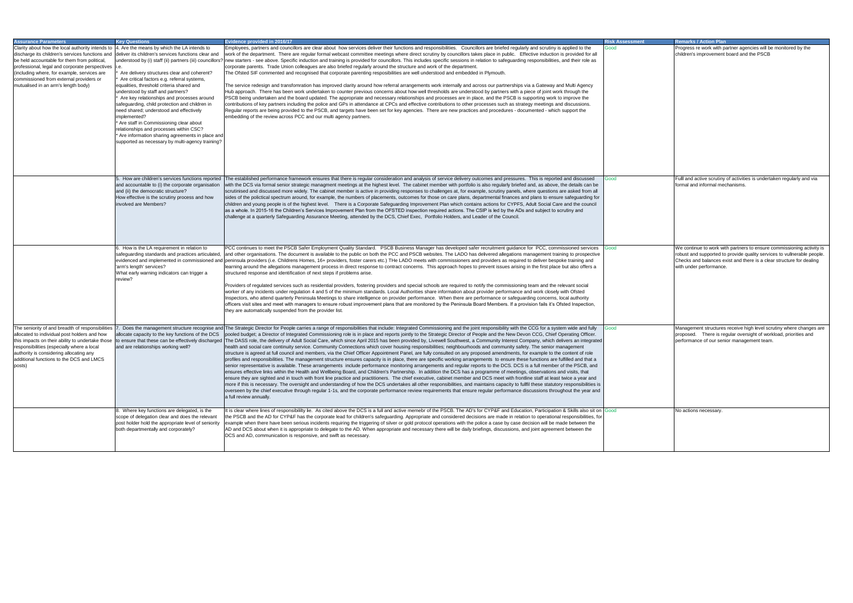|                                                                                                                                                                                                                                                                                                                                                                                                                                                                                                                                                                                                                                         | <b>Risk Assessment</b> | <b>Remarks / Action Plan</b>                                                                                                                                                                                                                        |
|-----------------------------------------------------------------------------------------------------------------------------------------------------------------------------------------------------------------------------------------------------------------------------------------------------------------------------------------------------------------------------------------------------------------------------------------------------------------------------------------------------------------------------------------------------------------------------------------------------------------------------------------|------------------------|-----------------------------------------------------------------------------------------------------------------------------------------------------------------------------------------------------------------------------------------------------|
| are briefed regularly and scrutiny is applied to the<br>place in public. Effective induction is provided for all<br>tion to safeguarding responsibilities, and their role as                                                                                                                                                                                                                                                                                                                                                                                                                                                            | Good                   | Progress re work with partner agencies will be monitored by the<br>children's improvement board and the PSCB                                                                                                                                        |
| Plymouth.                                                                                                                                                                                                                                                                                                                                                                                                                                                                                                                                                                                                                               |                        |                                                                                                                                                                                                                                                     |
| s our partnerships via a Gateway and Multi Agency<br>by partners with a piece of joint work through the<br>and the PSCB is supporting work to improve the<br>esses such as strategy meetings and discussions.<br>d procedures - documented - which support the                                                                                                                                                                                                                                                                                                                                                                          |                        |                                                                                                                                                                                                                                                     |
|                                                                                                                                                                                                                                                                                                                                                                                                                                                                                                                                                                                                                                         |                        |                                                                                                                                                                                                                                                     |
| mes and pressures. This is reported and discussed<br>Iso regularly briefed and, as above, the details can be<br>e, scrutiny panels, where questions are asked from all<br>tmental finances and plans to ensure safeguarding for<br>actions for CYPFS, Adult Social Care and the council<br>P is led by the ADs and subject to scrutiny and<br>er of the Council.                                                                                                                                                                                                                                                                        | Good                   | Fulll and active scrutiny of activities is undertaken regularly and via<br>formal and informal mechanisms.                                                                                                                                          |
| ecruitment guidance for PCC, commissioned services<br>livered allegations management training to prospective<br>roviders as required to deliver bespoke training and<br>event issues arising in the first place but also offers a<br>y the commissioning team and the relevant social<br>vider performance and work closely with Ofsted<br>ormance or safeguarding concerns, local authority<br>d Members. If a provision fails it's Ofsted Inspection,                                                                                                                                                                                 | Good                   | We continue to work with partners to ensure commissioning activity is<br>robust and supported to provide quality services to vullnerable people.<br>Checks and balances exist and there is a clear structure for dealing<br>with under performance. |
| esponsibility with the CCG for a system wide and fully<br>le and the New Devon CCG, Chief Operating Officer.<br>nmunity Interest Company, which delivers an integrated<br>and community safety. The senior management<br>sed amendments, for example to the content of role<br>ents to ensure these functions are fulfilled and that a<br>s to the DCS. DCS is a full member of the PSCB, and<br>gramme of meetings, observations and visits, that<br>OCS meet with frontline staff at least twice a year and<br>tains capacity to fullfil these statutory responsibilities is<br>jular performance discussions throughout the year and | Good                   | Management structures receive high level scrutiny where changes are<br>proposed. There is regular oversight of workload, priorities and<br>performance of our senior management team.                                                               |
| CYP&F and Education, Participation & Skills also sit on Good<br>s are made in relation to operational responsibilities, for<br>e a case by case decision will be made between the<br>ngs, discussions, and joint agreement between the                                                                                                                                                                                                                                                                                                                                                                                                  |                        | No actions necessary.                                                                                                                                                                                                                               |

| <b>Assurance Parameters</b>                                                                                                                                                                                                                                                                                                                   | <b>Kev Questions</b>                                                                                                                                                                                                                                                                                                                                                                                                                                                                                                                                                                                                                                                                                      | Evidence provided in 2016/17                                                                                                                                                                                                                                                                                                                                                                                                                                                                                                                                                                                                                                                                                                                                                                                                                                                                                                                                                                                                                                                                                                                                                                                                                                                                                                                                                                                                                                                                                                                                                                                                                                                                                                                                                                                                                                                                                                                                                                                                                                                                | <b>Risk Assessment</b> | <b>Remarks / Action Plan</b>                                                                         |
|-----------------------------------------------------------------------------------------------------------------------------------------------------------------------------------------------------------------------------------------------------------------------------------------------------------------------------------------------|-----------------------------------------------------------------------------------------------------------------------------------------------------------------------------------------------------------------------------------------------------------------------------------------------------------------------------------------------------------------------------------------------------------------------------------------------------------------------------------------------------------------------------------------------------------------------------------------------------------------------------------------------------------------------------------------------------------|---------------------------------------------------------------------------------------------------------------------------------------------------------------------------------------------------------------------------------------------------------------------------------------------------------------------------------------------------------------------------------------------------------------------------------------------------------------------------------------------------------------------------------------------------------------------------------------------------------------------------------------------------------------------------------------------------------------------------------------------------------------------------------------------------------------------------------------------------------------------------------------------------------------------------------------------------------------------------------------------------------------------------------------------------------------------------------------------------------------------------------------------------------------------------------------------------------------------------------------------------------------------------------------------------------------------------------------------------------------------------------------------------------------------------------------------------------------------------------------------------------------------------------------------------------------------------------------------------------------------------------------------------------------------------------------------------------------------------------------------------------------------------------------------------------------------------------------------------------------------------------------------------------------------------------------------------------------------------------------------------------------------------------------------------------------------------------------------|------------------------|------------------------------------------------------------------------------------------------------|
| Clarity about how the local authority intends to<br>discharge its children's services functions and<br>be held accountable for them from political,<br>professional, legal and corporate perspectives   i.e.<br>(including where, for example, services are<br>commissioned from external providers or<br>mutualised in an arm's length body) | 4. Are the means by which the LA intends to<br>deliver its children's services functions clear and<br>understood by (i) staff (ii) partners (iii) councillors?<br>Are delivery structures clear and coherent?<br>Are critical factors e.g. referral systems,<br>equalities, threshold criteria shared and<br>understood by staff and partners?<br>Are key relationships and processes around<br>safeguarding, child protection and children in<br>need shared; understood and effectively<br>implemented?<br>* Are staff in Commissioning clear about<br>relationships and processes within CSC?<br>* Are information sharing agreements in place and<br>supported as necessary by multi-agency training? | Employees, partners and councillors are clear about how services deliver their functions and responsibilities. Councillors are briefed regularly and scrutiny is applied to the<br>work of the department. There are regular formal webcast committee meetings where direct scrutiny by councillors takes place in public. Effective induction is provided for all<br>new starters - see above. Specific induction and training is provided for councillors. This includes specific sessions in relation to safeguarding responsibilities, and their role as<br>corporate parents. Trade Union colleagues are also briefed regularly around the structure and work of the department.<br>The Ofsted SIF commented and recognised that corporate parenting resposibilities are well understood and embedded in Plymouth.<br>The service redesign and transfomration has improved clarity around how referral arrangements work internally and across our partnerships via a Gateway and Multi Agency<br>Hub approach. There has been work undertaken to counter previous concerns about how well thresholds are understood by partners with a piece of joint work through the<br>PSCB being undertaken and the board updated. The appropriate and necessary relationships and processes are in place, and the PSCB is supporting work to improve the<br>contributions of key partners including the police and GPs in attendance at CPCs and effective contributions to other processes such as strategy meetings and discussions.<br>Regular reports are being provided to the PSCB, and targets have been set for key agencies. There are new practices and procedures - documented - which support the<br>embedding of the review across PCC and our multi agency partners.                                                                                                                                                                                                                                                                                                               | Good                   | Progress re work with p<br>children's improvement                                                    |
|                                                                                                                                                                                                                                                                                                                                               | and accountable to (i) the corporate organisation<br>and (ii) the democratic structure?<br>How effective is the scrutiny process and how<br>involved are Members?                                                                                                                                                                                                                                                                                                                                                                                                                                                                                                                                         | 5. How are children's services functions reported The established performance framework ensures that there is regular consideration and analysis of service delivery outcomes and pressures. This is reported and discussed<br>with the DCS via formal senior strategic managment meetings at the highest level. The cabinet member with portfolio is also regularly briefed and, as above, the details can be<br>scrutinised and discussed more widely. The cabinet member is active in providing responses to challenges at, for example, scrutiny panels, where questions are asked from all<br>sides of the polictical spectrum around, for example, the numbers of placements, outcomes for those on care plans, departmental finances and plans to ensure safeguarding for<br>children and young people is of the highest level. There is a Corporate Safeguarding Improvement Plan which contains actions for CYPFS, Adult Social Care and the council<br>as a whole. In 2015-16 the Children's Services Improvement Plan from the OFSTED inspection required actions. The CSIP is led by the ADs and subject to scrutiny and<br>challenge at a quarterly Safeguarding Assurance Meeting, attended by the DCS, Chief Exec, Portfolio Holders, and Leader of the Council.                                                                                                                                                                                                                                                                                                                                                                                                                                                                                                                                                                                                                                                                                                                                                                                                             | Good                   | Fulll and active scrutiny<br><b>Iformal and informal media</b>                                       |
|                                                                                                                                                                                                                                                                                                                                               | 6. How is the LA requirement in relation to<br>safeguarding standards and practices articulated,<br>evidenced and implemented in commissioned and<br>'arm's length' services?<br>What early warning indicators can trigger a<br>review?                                                                                                                                                                                                                                                                                                                                                                                                                                                                   | PCC continues to meet the PSCB Safer Employment Quality Standard. PSCB Business Manager has developed safer recruitment guidance for PCC, commissioned services<br>and other organisations. The document is available to the public on both the PCC and PSCB websites. The LADO has delivered allegations management training to prospective<br>peninsula providers (i.e. Childrens Homes, 16+ providers, foster carers etc.) THe LADO meets with commissioners and providers as required to deliver bespoke training and<br>learning around the allegations management process in direct response to contract concerns. This approach hopes to prevent issues arising in the first place but also offers a<br>structured response and identification of next steps if problems arise.<br>Providers of regulated services such as residential providers, fostering providers and special schools are required to notify the commissioning team and the relevant social<br>worker of any incidents under regulation 4 and 5 of the minimum standards. Local Authorities share information about provider performance and work closely with Ofsted<br>nspectors, who attend quarterly Peninsula Meetings to share intelligence on provider performance. When there are performance or safeguarding concerns, local authority<br>officers visit sites and meet with managers to ensure robust improvement plans that are monitored by the Peninsula Board Members. If a provision fails it's Ofsted Inspection,<br>they are automatically suspended from the provider list.                                                                                                                                                                                                                                                                                                                                                                                                                                                                                                                    | Good                   | We continue to work wi<br>robust and supported to<br>Checks and balances e<br>with under performance |
| The seniority of and breadth of responsibilities<br>allocated to individual post holders and how<br>this impacts on their ability to undertake those<br>responsibilities (especially where a local<br>authority is considering allocating any<br>additional functions to the DCS and LMCS<br>posts)                                           | allocate capacity to the key functions of the DCS<br>to ensure that these can be effectively discharged<br>and are relationships working well?                                                                                                                                                                                                                                                                                                                                                                                                                                                                                                                                                            | Does the management structure recognise and The Strategic Director for People carries a range of responsibilities that include: Integrated Commissioning and the joint responsibility with the CCG for a system wide and fully<br>pooled budget; a Director of Integrated Commissioning role is in place and reports jointly to the Strategic Director of People and the New Devon CCG, Chief Operating Officer.<br>The DASS role, the delivery of Adult Social Care, which since April 2015 has been provided by, Livewell Southwest, a Community Interest Company, which delivers an integrated<br>health and social care continuity service. Community Connections which cover housing responsibilities; neighbourhoods and community safety. The senior management<br>structure is agreed at full council and members, via the Chief Officer Appointment Panel, are fully consulted on any proposed amendments, for example to the content of role<br>profiles and responsibilities. The management structure ensures capacity is in place, there are specific working arrangements to ensure these functions are fulfilled and that a<br>senior representative is available. These arrangements include performance monitoring arrangements and regular reports to the DCS. DCS is a full member of the PSCB, and<br>ensures effective links within the Health and Wellbeing Board, and Children's Partnership. In addition the DCS has a programme of meetings, observations and visits, that<br>ensure they are sighted and in touch with front line practice and practitioners. The chief executive, cabinet member and DCS meet with frontline staff at least twice a year and<br>more if this is necessary. The oversight and understanding of how the DCS undertakes all other responsibilities, and maintains capacity to fullfil these statutory responsibilities is<br>overseen by the chief executive through regular 1-1s, and the corporate performance review requirements that ensure regular performance discussions throughout the year and<br>a full review annually. | Good                   | Management structures<br>proposed. There is re<br>performance of our sen                             |
|                                                                                                                                                                                                                                                                                                                                               | 8. Where key functions are delegated, is the<br>scope of delegation clear and does the relevant<br>post holder hold the appropriate level of seniority<br>both departmentally and corporately?                                                                                                                                                                                                                                                                                                                                                                                                                                                                                                            | It is clear where lines of responsibility lie. As cited above the DCS is a full and active memebr of the PSCB. The AD's for CYP&F and Education, Participation & Skills also sit on Good<br>the PSCB and the AD for CYP&F has the corporate lead for children's safeguarding. Appropriate and considered decisions are made in relation to operational responsibilities, for<br>example when there have been serious incidents requiring the triggering of silver or gold protocol operations with the police a case by case decision will be made between the<br>AD and DCS about when it is appropriate to delegate to the AD. When appropriate and necessary there will be daily briefings, discussions, and joint agreement between the<br>DCS and AD, communication is responsive, and swift as necessary.                                                                                                                                                                                                                                                                                                                                                                                                                                                                                                                                                                                                                                                                                                                                                                                                                                                                                                                                                                                                                                                                                                                                                                                                                                                                             |                        | No actions necessary                                                                                 |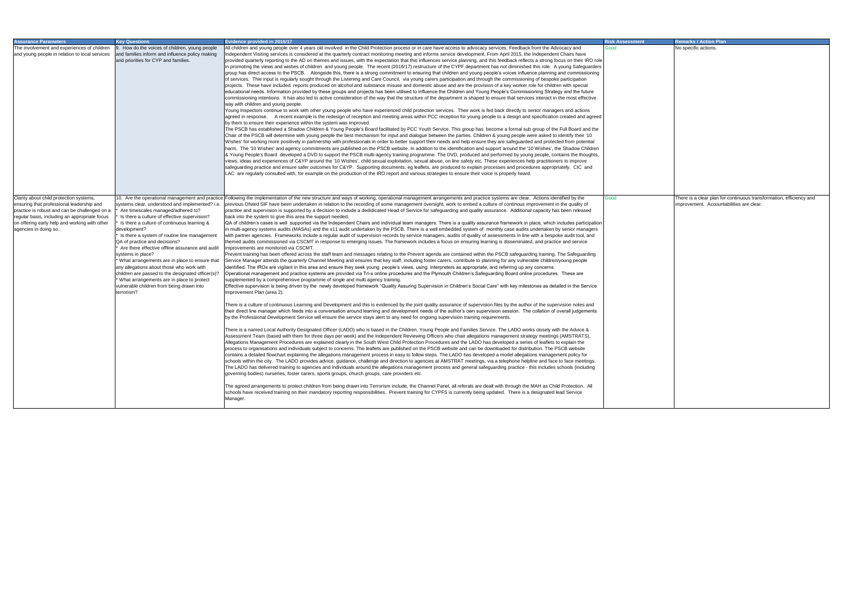| <b>Assurance Parameters</b><br>The involvement and experiences of children<br>and young people in relation to local services                                                                                                                                     | <b>Kev Questions</b><br>9. How do the voices of children, young people<br>and families inform and influence policy making<br>and priorities for CYP and families.                                                                                                                                                                                                                                                                                                                                                                                                                                                          | Evidence provided in 2016/17<br>All children and young people over 4 years old involved in the Child Protection process or in care have access to advocacy services. Feedback from the Advocacy and<br>Independent Visiting services is considered at the quarterly contract monitoring meeting and informs service development. From April 2015, the Independent Chairs have<br>provided quarterly reporting to the AD on themes and issues, with the expectation that this influences service planning, and this feedback reflects a strong focus on their IRO role<br>In promoting the views and wishes of children and young people. The recent (2016/17) restructure of the CYPF department has not diminished this role. A young Safeguarders<br>group has direct access to the PSCB. Alongside this, there is a strong commitment to ensuring that children and young people's voices influence planning and commissioning<br>of services. Thie input is regularly sought through the Listening and Care Council, via young carers participation and through the commissioning of bespoke participation<br>projects. These have included reports produced on alcohol and substance misuse and domestic abuse and are the provision of a key worker role for children with special<br>educational needs. Information provided by these groups and projects has been utilised to influence the Children and Young People's Commissioning Strategy and the future<br>commissioning intentions. It has also led to active consideration of the way that the structure of the department is shaped to ensure that services interact in the most effective<br>way with children and young people.<br>Young Inspectors continue to work with other young people who have experienced child protection services. Their work is fed back directly to senior managers and actions<br>agreed in response. A recent example is the redesign of reception and meeting areas within PCC reception for young people to a design and specification created and agreed<br>by them to ensure their experience within the system was improved.<br>The PSCB has established a Shadow Children & Young People's Board facilitated by PCC Youth Service. This group has become a formal sub group of the Full Board and the<br>Chair of the PSCB will determine with young people the best mechanism for input and dialogue between the parties. Children & young people were asked to identify their '10<br>Wishes' for working more positively in partnership with professionals in order to better support their needs and help ensure they are safeguarded and protected from potential<br>harm. The '10 Wishes' and agency commitments are published on the PSCB website. In addition to the identification and support around the '10 Wishes', the Shadow Children<br>8 Young People's Board developed a DVD to support the PSCB multi-agency training programme. The DVD, produced and performed by young people, contains the thoughts,<br>views, ideas and experiences of C&YP around the '10 Wishes', child sexual exploitation, sexual abuse, on line safety etc. These experiences help practitioners to improve<br>safeguarding practice and ensure safer outcomes for C&YP. Supporting documents, eg leaflets, are produced to explain processes and procedures appropriately. CIC and<br>LAC are regularly consulted with, for example on the production of the IRO report and various strategies to ensure their voice is properly heard.                                                                                                                                                                                                                                                                                                                                                                                                                                                                                                                                                                                                                                                                                                                                                                                                                                                                                                                                                                                                                                                                                  | Risk Assessment<br>Good | <b>Remarks / Action Plan</b><br>No specific actions.                                                            |
|------------------------------------------------------------------------------------------------------------------------------------------------------------------------------------------------------------------------------------------------------------------|----------------------------------------------------------------------------------------------------------------------------------------------------------------------------------------------------------------------------------------------------------------------------------------------------------------------------------------------------------------------------------------------------------------------------------------------------------------------------------------------------------------------------------------------------------------------------------------------------------------------------|-----------------------------------------------------------------------------------------------------------------------------------------------------------------------------------------------------------------------------------------------------------------------------------------------------------------------------------------------------------------------------------------------------------------------------------------------------------------------------------------------------------------------------------------------------------------------------------------------------------------------------------------------------------------------------------------------------------------------------------------------------------------------------------------------------------------------------------------------------------------------------------------------------------------------------------------------------------------------------------------------------------------------------------------------------------------------------------------------------------------------------------------------------------------------------------------------------------------------------------------------------------------------------------------------------------------------------------------------------------------------------------------------------------------------------------------------------------------------------------------------------------------------------------------------------------------------------------------------------------------------------------------------------------------------------------------------------------------------------------------------------------------------------------------------------------------------------------------------------------------------------------------------------------------------------------------------------------------------------------------------------------------------------------------------------------------------------------------------------------------------------------------------------------------------------------------------------------------------------------------------------------------------------------------------------------------------------------------------------------------------------------------------------------------------------------------------------------------------------------------------------------------------------------------------------------------------------------------------------------------------------------------------------------------------------------------------------------------------------------------------------------------------------------------------------------------------------------------------------------------------------------------------------------------------------------------------------------------------------------------------------------------------------------------------------------------------------------------------------------------------------------------------------------------------------------------------------------------------------------------------------------------------------------------------------------------------------------------------------------------------------------------------------------------------------------------------------------------------------------------------------------------------------------------------------------------------------------------------------------------------------------------------------------------------------------------------------------------------------------------------------------------------------------------------------------------------------------------------------------------------------------------------------------------------------------------------------------------------------------------------------------------------------------------------------------------------------------------------------------------------------------------------------------------------------------------------------------------------------------------------------------------------------------------------------------------------------------------------------------------------------------------------------------------------------------------------------------------------------------------------------------------------------------------------------------------------------------------------------------------------------|-------------------------|-----------------------------------------------------------------------------------------------------------------|
| Clarity about child protection systems,<br>ensuring that professional leadership and<br>practice is robust and can be challenged on a<br>regular basis, including an appropriate focus<br>on offering early help and working with other<br>agencies in doing so. | systems clear, understood and implemented? i.e.<br>Are timescales managed/adhered to?<br>Is there a culture of effective supervision?<br>Is there a culture of continuous learning &<br>development?<br>Is there a system of routine line management<br>QA of practice and decisions?<br>Are there effective offline assurance and audit<br>systems in place?<br>* What arrangements are in place to ensure that<br>any allegations about those who work with<br>children are passed to the designated officer(s)?<br>What arrangements are in place to protect<br>vulnerable children from being drawn into<br>terrorism? | 10. Are the operational management and practice Following the implementation of the new structure and ways of working, operational management arrangements and practice systems are clear. Actions identified by the<br>previous Ofsted SIF have been undertaken in relation to the recording of some management oversight, work to embed a culture of continous improvement in the quality of<br>practice and supervision is supported by a decision to include a dedidicated Head of Service for safeguarding and quality assurance. Additional capacity has been released<br>back into the system to give this area the support needed.<br> QA of children's cases is well supported via the Independent Chairs and individual team managers. There is a quality assurance framework in place, which includes participation<br>in multi-agency systems audits (MASAs) and the s11 audit undertaken by the PSCB. There is a well embedded system of monthly case audits undertaken by senior managers<br>with partner agencies. Frameworks include a regular audit of supervision records by service managers, audits of quality of assessments in line with a bespoke audit tool, and<br>themed audits commissioned via CSCMT in response to emerging issues. The framework includes a focus on ensuring learning is disseminated, and practice and service<br>improvements are monitored via CSCMT.<br>Prevent training has been offered across the staff team and messages relating to the Prevent agenda are contained within the PSCB safeguarding training. The Safeguarding<br>Service Manager attends the quarterly Channel Meeting and ensures that key staff, including foster carers, contribute to planning for any vulnerable children/young people<br>identified. The IROs are vigilant in this area and ensure they seek young people's views, using interpreters as appropriate, and referring up any concerns.<br>Operational management and practice systems are provided via Tri-x online procedures and the Plymouth Children's Safeguarding Board online procedures. These are<br>supplemented by a comprehensive programme of single and multi agency training.<br>Effective supervision is being driven by the newly developed framework "Quality Assuring Supervision in Children's Social Care" with key milestones as detailed in the Service<br>Improvement Plan (area 2).<br>There is a culture of continuous Learning and Development and this is evidenced by the joint quality assurance of supervision files by the author of the supervision notes and<br>their direct line manager which feeds into a conversation around learning and development needs of the author's own supervision session. The collation of overall judgements<br>by the Professional Development Service will ensure the service stays alert to any need for ongoing supervision training requirements.<br>There is a named Local Authority Designated Officer (LADO) who is based in the Children, Young People and Families Service. The LADO works closely with the Advice &<br>Assessment Team (based with them for three days per week) and the Independent Reviewing Officers who chair allegations management strategy meetings (AMSTRATS).<br>Allegations Management Procedures are explained clearly in the South West Child Protection Procedures and the LADO has developed a series of leaflets to explain the<br>process to organisations and individuals subject to concerns. The leaflets are published on the PSCB website and can be downloaded for distribution. The PSCB website<br>contains a detailed flowchart explaining the allegations management process in easy to follow steps. The LADO has developed a model allegations management policy for<br>schools within the city. The LADO provides advice, guidance, challenge and direction to agencies at AMSTRAT meetings, via a telephone helpline and face to face meetings.<br>The LADO has delivered training to agencies and individuals around the allegations management process and general safeguarding practice - this includes schools (including<br>governing bodies) nurseries, foster carers, sports groups, church groups, care providers etc.<br>The agreed arrangements to protect children from being drawn into Terrorism include, the Channel Panel, all referals are dealt with through the MAH as Child Protection. All<br>schools have received training on their mandatory reporting responsibilities. Prevent training for CYPFS is currently being updated. There is a designated lead Service<br>Manager. | Good                    | There is a clear plan for continuous transformation, efficiency and<br>improvement. Accountabilities are clear. |